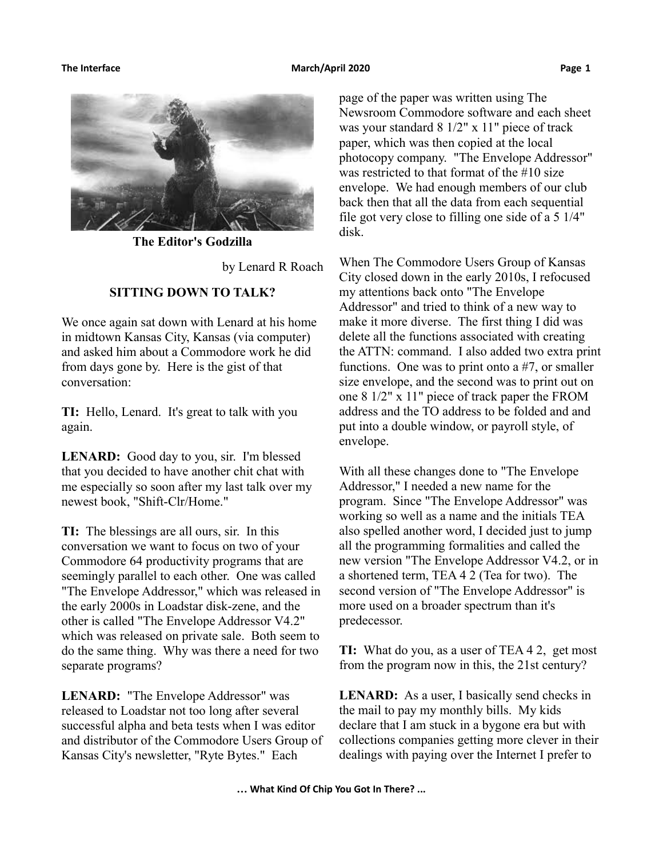

**The Editor's Godzilla**

by Lenard R Roach

### **SITTING DOWN TO TALK?**

We once again sat down with Lenard at his home in midtown Kansas City, Kansas (via computer) and asked him about a Commodore work he did from days gone by. Here is the gist of that conversation:

**TI:** Hello, Lenard. It's great to talk with you again.

**LENARD:** Good day to you, sir. I'm blessed that you decided to have another chit chat with me especially so soon after my last talk over my newest book, "Shift-Clr/Home."

**TI:** The blessings are all ours, sir. In this conversation we want to focus on two of your Commodore 64 productivity programs that are seemingly parallel to each other. One was called "The Envelope Addressor," which was released in the early 2000s in Loadstar disk-zene, and the other is called "The Envelope Addressor V4.2" which was released on private sale. Both seem to do the same thing. Why was there a need for two separate programs?

**LENARD:** "The Envelope Addressor" was released to Loadstar not too long after several successful alpha and beta tests when I was editor and distributor of the Commodore Users Group of Kansas City's newsletter, "Ryte Bytes." Each

page of the paper was written using The Newsroom Commodore software and each sheet was your standard 8 1/2" x 11" piece of track paper, which was then copied at the local photocopy company. "The Envelope Addressor" was restricted to that format of the #10 size envelope. We had enough members of our club back then that all the data from each sequential file got very close to filling one side of a 5 1/4" disk.

When The Commodore Users Group of Kansas City closed down in the early 2010s, I refocused my attentions back onto "The Envelope Addressor" and tried to think of a new way to make it more diverse. The first thing I did was delete all the functions associated with creating the ATTN: command. I also added two extra print functions. One was to print onto a #7, or smaller size envelope, and the second was to print out on one 8 1/2" x 11" piece of track paper the FROM address and the TO address to be folded and and put into a double window, or payroll style, of envelope.

With all these changes done to "The Envelope Addressor," I needed a new name for the program. Since "The Envelope Addressor" was working so well as a name and the initials TEA also spelled another word, I decided just to jump all the programming formalities and called the new version "The Envelope Addressor V4.2, or in a shortened term, TEA 4 2 (Tea for two). The second version of "The Envelope Addressor" is more used on a broader spectrum than it's predecessor.

**TI:** What do you, as a user of TEA 4 2, get most from the program now in this, the 21st century?

**LENARD:** As a user, I basically send checks in the mail to pay my monthly bills. My kids declare that I am stuck in a bygone era but with collections companies getting more clever in their dealings with paying over the Internet I prefer to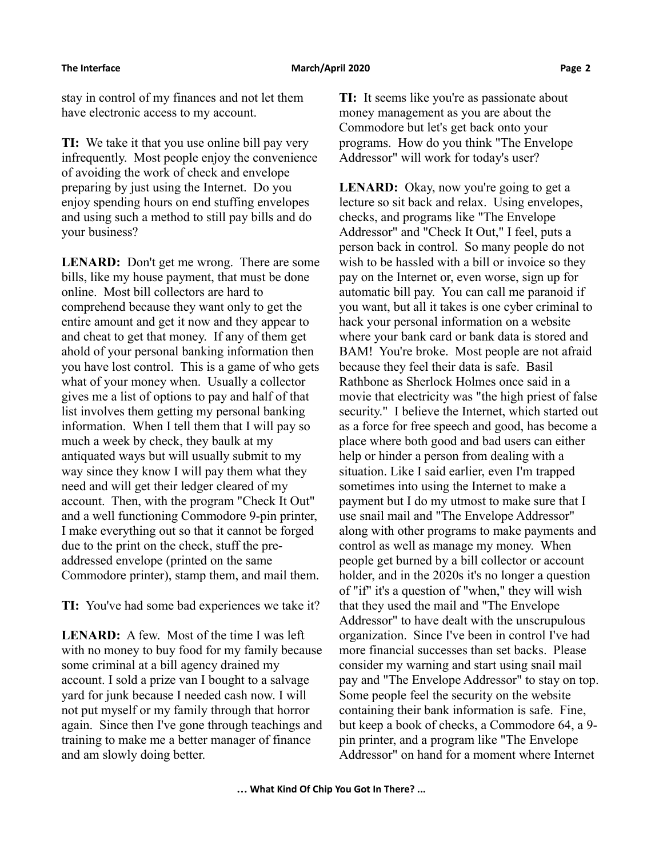stay in control of my finances and not let them have electronic access to my account.

**TI:** We take it that you use online bill pay very infrequently. Most people enjoy the convenience of avoiding the work of check and envelope preparing by just using the Internet. Do you enjoy spending hours on end stuffing envelopes and using such a method to still pay bills and do your business?

**LENARD:** Don't get me wrong. There are some bills, like my house payment, that must be done online. Most bill collectors are hard to comprehend because they want only to get the entire amount and get it now and they appear to and cheat to get that money. If any of them get ahold of your personal banking information then you have lost control. This is a game of who gets what of your money when. Usually a collector gives me a list of options to pay and half of that list involves them getting my personal banking information. When I tell them that I will pay so much a week by check, they baulk at my antiquated ways but will usually submit to my way since they know I will pay them what they need and will get their ledger cleared of my account. Then, with the program "Check It Out" and a well functioning Commodore 9-pin printer, I make everything out so that it cannot be forged due to the print on the check, stuff the preaddressed envelope (printed on the same Commodore printer), stamp them, and mail them.

**TI:** You've had some bad experiences we take it?

**LENARD:** A few. Most of the time I was left with no money to buy food for my family because some criminal at a bill agency drained my account. I sold a prize van I bought to a salvage yard for junk because I needed cash now. I will not put myself or my family through that horror again. Since then I've gone through teachings and training to make me a better manager of finance and am slowly doing better.

**TI:** It seems like you're as passionate about money management as you are about the Commodore but let's get back onto your programs. How do you think "The Envelope Addressor" will work for today's user?

**LENARD:** Okay, now you're going to get a lecture so sit back and relax. Using envelopes, checks, and programs like "The Envelope Addressor" and "Check It Out," I feel, puts a person back in control. So many people do not wish to be hassled with a bill or invoice so they pay on the Internet or, even worse, sign up for automatic bill pay. You can call me paranoid if you want, but all it takes is one cyber criminal to hack your personal information on a website where your bank card or bank data is stored and BAM! You're broke. Most people are not afraid because they feel their data is safe. Basil Rathbone as Sherlock Holmes once said in a movie that electricity was "the high priest of false security." I believe the Internet, which started out as a force for free speech and good, has become a place where both good and bad users can either help or hinder a person from dealing with a situation. Like I said earlier, even I'm trapped sometimes into using the Internet to make a payment but I do my utmost to make sure that I use snail mail and "The Envelope Addressor" along with other programs to make payments and control as well as manage my money. When people get burned by a bill collector or account holder, and in the 2020s it's no longer a question of "if" it's a question of "when," they will wish that they used the mail and "The Envelope Addressor" to have dealt with the unscrupulous organization. Since I've been in control I've had more financial successes than set backs. Please consider my warning and start using snail mail pay and "The Envelope Addressor" to stay on top. Some people feel the security on the website containing their bank information is safe. Fine, but keep a book of checks, a Commodore 64, a 9 pin printer, and a program like "The Envelope Addressor" on hand for a moment where Internet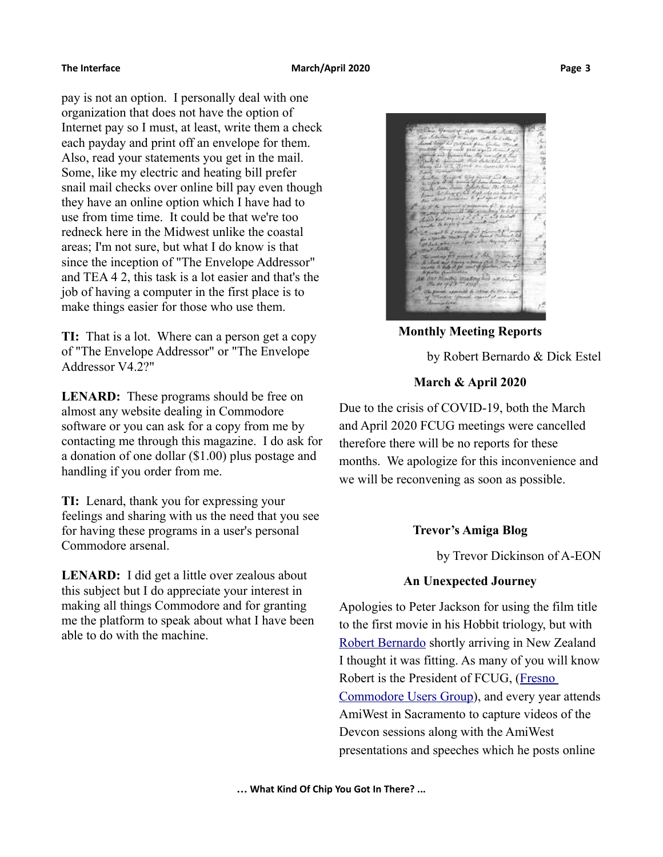pay is not an option. I personally deal with one organization that does not have the option of Internet pay so I must, at least, write them a check each payday and print off an envelope for them. Also, read your statements you get in the mail. Some, like my electric and heating bill prefer snail mail checks over online bill pay even though they have an online option which I have had to use from time time. It could be that we're too redneck here in the Midwest unlike the coastal areas; I'm not sure, but what I do know is that since the inception of "The Envelope Addressor" and TEA 4 2, this task is a lot easier and that's the job of having a computer in the first place is to make things easier for those who use them.

**TI:** That is a lot. Where can a person get a copy of "The Envelope Addressor" or "The Envelope Addressor V4.2?"

**LENARD:** These programs should be free on almost any website dealing in Commodore software or you can ask for a copy from me by contacting me through this magazine. I do ask for a donation of one dollar (\$1.00) plus postage and handling if you order from me.

**TI:** Lenard, thank you for expressing your feelings and sharing with us the need that you see for having these programs in a user's personal Commodore arsenal.

**LENARD:** I did get a little over zealous about this subject but I do appreciate your interest in making all things Commodore and for granting me the platform to speak about what I have been able to do with the machine.



**Monthly Meeting Reports**

by Robert Bernardo & Dick Estel

## **March & April 2020**

Due to the crisis of COVID-19, both the March and April 2020 FCUG meetings were cancelled therefore there will be no reports for these months. We apologize for this inconvenience and we will be reconvening as soon as possible.

## **Trevor's Amiga Blog**

by Trevor Dickinson of A-EON

## **An Unexpected Journey**

Apologies to Peter Jackson for using the film title to the first movie in his Hobbit triology, but with [Robert Bernardo](https://www.latimes.com/archives/la-xpm-2006-jun-27-fi-commodore27-story.html) shortly arriving in New Zealand I thought it was fitting. As many of you will know Robert is the President of FCUG, [\(Fresno](http://www.dickestel.com/fcug.htm)  [Commodore Users Group\)](http://www.dickestel.com/fcug.htm), and every year attends AmiWest in Sacramento to capture videos of the Devcon sessions along with the AmiWest presentations and speeches which he posts online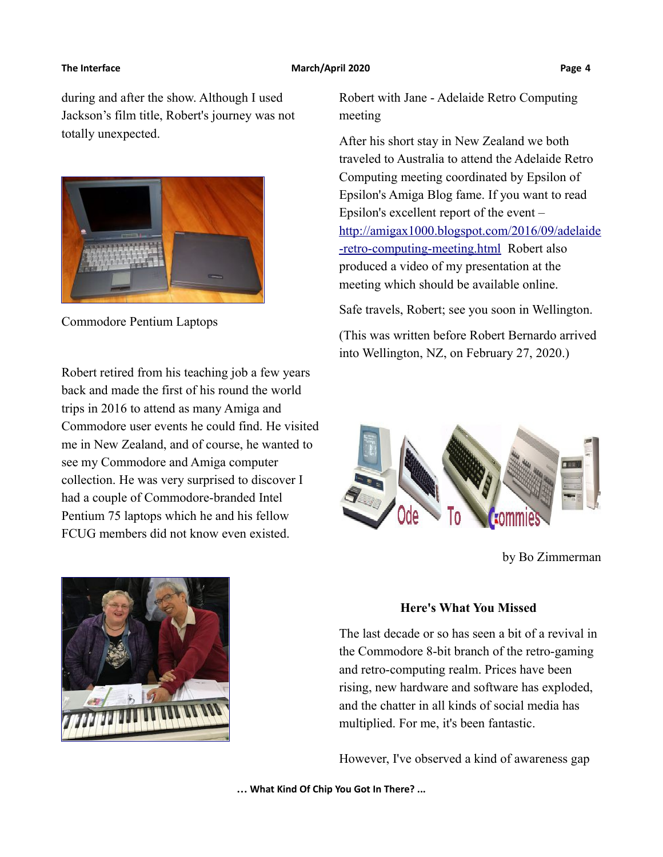during and after the show. Although I used Jackson's film title, Robert's journey was not totally unexpected.



Commodore Pentium Laptops

Robert retired from his teaching job a few years back and made the first of his round the world trips in 2016 to attend as many Amiga and Commodore user events he could find. He visited me in New Zealand, and of course, he wanted to see my Commodore and Amiga computer collection. He was very surprised to discover I had a couple of Commodore-branded Intel Pentium 75 laptops which he and his fellow FCUG members did not know even existed.



Robert with Jane - Adelaide Retro Computing meeting

After his short stay in New Zealand we both traveled to Australia to attend the Adelaide Retro Computing meeting coordinated by Epsilon of Epsilon's Amiga Blog fame. If you want to read Epsilon's excellent report of the event – [http://amigax1000.blogspot.com/2016/09/adelaide](http://amigax1000.blogspot.com/2016/09/adelaide-retro-computing-meeting.html) [-retro-computing-meeting.html](http://amigax1000.blogspot.com/2016/09/adelaide-retro-computing-meeting.html) Robert also produced a video of my presentation at the meeting which should be available online.

Safe travels, Robert; see you soon in Wellington.

(This was written before Robert Bernardo arrived into Wellington, NZ, on February 27, 2020.)



by Bo Zimmerman

### **Here's What You Missed**

The last decade or so has seen a bit of a revival in the Commodore 8-bit branch of the retro-gaming and retro-computing realm. Prices have been rising, new hardware and software has exploded, and the chatter in all kinds of social media has multiplied. For me, it's been fantastic.

However, I've observed a kind of awareness gap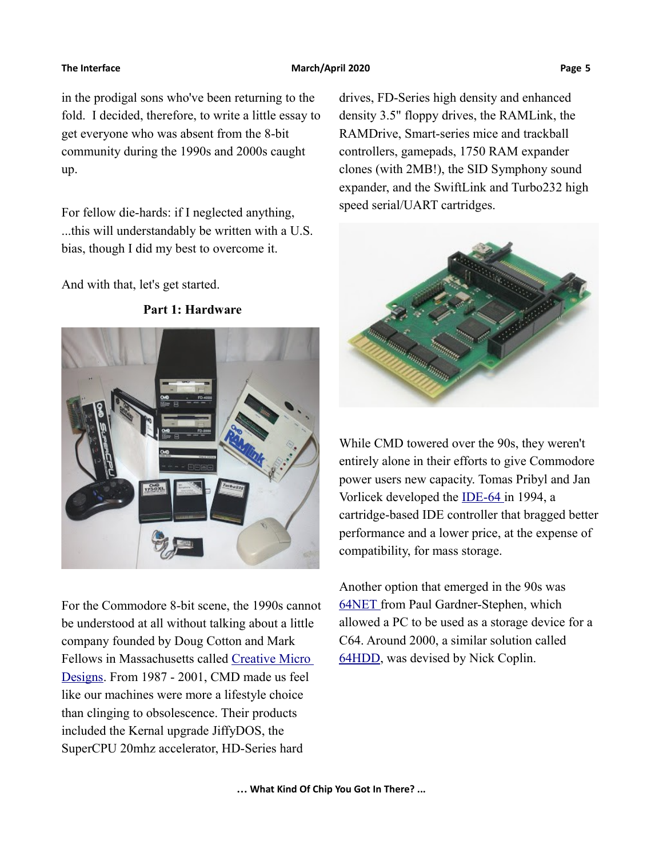### **The Interface The Contract Contract Contract Contract March/April 2020 Page 5 Page 5**

in the prodigal sons who've been returning to the fold. I decided, therefore, to write a little essay to get everyone who was absent from the 8-bit community during the 1990s and 2000s caught up.

For fellow die-hards: if I neglected anything, ...this will understandably be written with a U.S. bias, though I did my best to overcome it.

And with that, let's get started.



For the Commodore 8-bit scene, the 1990s cannot be understood at all without talking about a little company founded by Doug Cotton and Mark Fellows in Massachusetts called [Creative Micro](https://en.wikipedia.org/wiki/Creative_Micro_Designs)  [Designs.](https://en.wikipedia.org/wiki/Creative_Micro_Designs) From 1987 - 2001, CMD made us feel like our machines were more a lifestyle choice than clinging to obsolescence. Their products included the Kernal upgrade JiffyDOS, the SuperCPU 20mhz accelerator, HD-Series hard

drives, FD-Series high density and enhanced density 3.5" floppy drives, the RAMLink, the RAMDrive, Smart-series mice and trackball controllers, gamepads, 1750 RAM expander clones (with 2MB!), the SID Symphony sound expander, and the SwiftLink and Turbo232 high speed serial/UART cartridges.



While CMD towered over the 90s, they weren't entirely alone in their efforts to give Commodore power users new capacity. Tomas Pribyl and Jan Vorlicek developed the [IDE-64](http://www.ide64.org/) in 1994, a cartridge-based IDE controller that bragged better performance and a lower price, at the expense of compatibility, for mass storage.

Another option that emerged in the 90s was  [64NET](http://www.zimmers.net/anonftp/pub/cbm/crossplatform/transfer/CBM-to-PC/index.html) from Paul Gardner-Stephen, which allowed a PC to be used as a storage device for a C64. Around 2000, a similar solution called [64HDD,](https://www.64hdd.com/) was devised by Nick Coplin.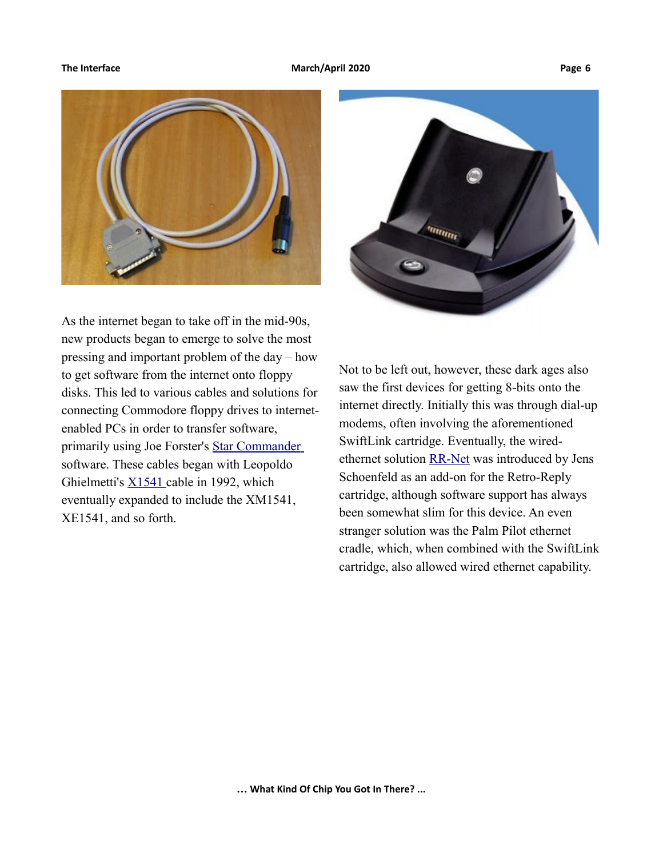

As the internet began to take off in the mid-90s, new products began to emerge to solve the most pressing and important problem of the day – how to get software from the internet onto floppy disks. This led to various cables and solutions for connecting Commodore floppy drives to internetenabled PCs in order to transfer software, primarily using Joe Forster's [Star Commander](https://sta.c64.org/sc.html) software. These cables began with Leopoldo Ghielmetti's [X1541 c](http://sta.c64.org/xcables.html)able in 1992, which eventually expanded to include the XM1541, XE1541, and so forth.



Not to be left out, however, these dark ages also saw the first devices for getting 8-bits onto the internet directly. Initially this was through dial-up modems, often involving the aforementioned SwiftLink cartridge. Eventually, the wiredethernet solution [RR-Net](https://icomp.de/shop-icomp/en/shop/product/rr-net-mk3.html) was introduced by Jens Schoenfeld as an add-on for the Retro-Reply cartridge, although software support has always been somewhat slim for this device. An even stranger solution was the Palm Pilot ethernet cradle, which, when combined with the SwiftLink cartridge, also allowed wired ethernet capability.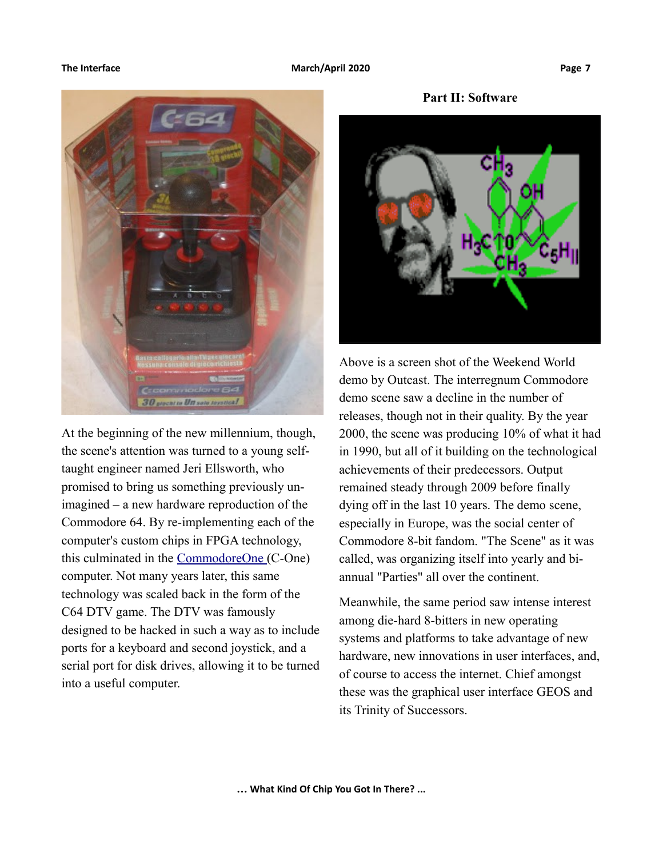

At the beginning of the new millennium, though, the scene's attention was turned to a young selftaught engineer named Jeri Ellsworth, who promised to bring us something previously unimagined – a new hardware reproduction of the Commodore 64. By re-implementing each of the computer's custom chips in FPGA technology, this culminated in the [CommodoreOne \(](https://en.wikipedia.org/wiki/C-One)C-One) computer. Not many years later, this same technology was scaled back in the form of the C64 DTV game. The DTV was famously designed to be hacked in such a way as to include ports for a keyboard and second joystick, and a serial port for disk drives, allowing it to be turned into a useful computer.

**Part II: Software**



Above is a screen shot of the Weekend World demo by Outcast. The interregnum Commodore demo scene saw a decline in the number of releases, though not in their quality. By the year 2000, the scene was producing 10% of what it had in 1990, but all of it building on the technological achievements of their predecessors. Output remained steady through 2009 before finally dying off in the last 10 years. The demo scene, especially in Europe, was the social center of Commodore 8-bit fandom. "The Scene" as it was called, was organizing itself into yearly and biannual "Parties" all over the continent.

Meanwhile, the same period saw intense interest among die-hard 8-bitters in new operating systems and platforms to take advantage of new hardware, new innovations in user interfaces, and, of course to access the internet. Chief amongst these was the graphical user interface GEOS and its Trinity of Successors.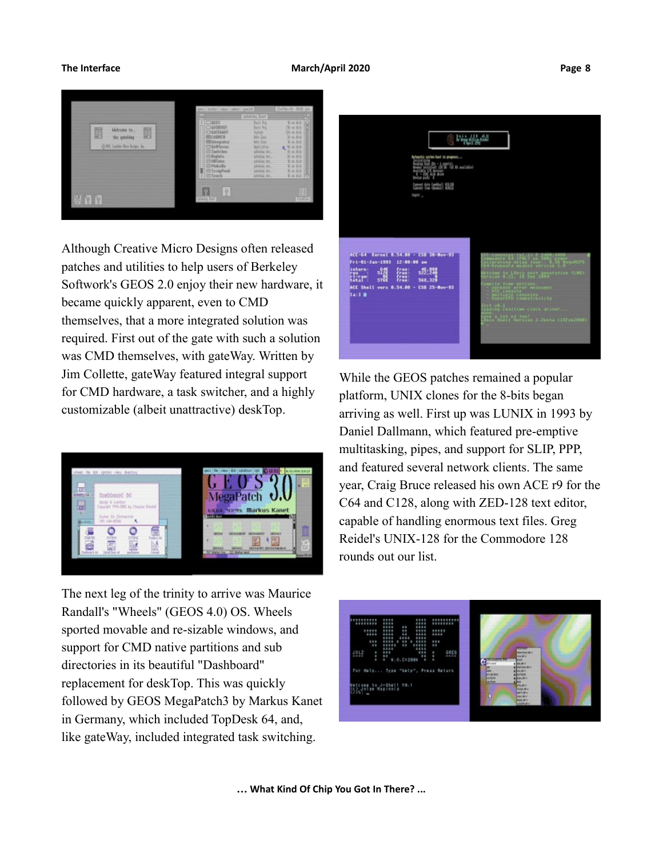

Although Creative Micro Designs often released patches and utilities to help users of Berkeley Softwork's GEOS 2.0 enjoy their new hardware, it became quickly apparent, even to CMD themselves, that a more integrated solution was required. First out of the gate with such a solution was CMD themselves, with gateWay. Written by Jim Collette, gateWay featured integral support for CMD hardware, a task switcher, and a highly customizable (albeit unattractive) deskTop.



The next leg of the trinity to arrive was Maurice Randall's "Wheels" (GEOS 4.0) OS. Wheels sported movable and re-sizable windows, and support for CMD native partitions and sub directories in its beautiful "Dashboard" replacement for deskTop. This was quickly followed by GEOS MegaPatch3 by Markus Kanet in Germany, which included TopDesk 64, and, like gateWay, included integrated task switching.



While the GEOS patches remained a popular platform, UNIX clones for the 8-bits began arriving as well. First up was LUNIX in 1993 by Daniel Dallmann, which featured pre-emptive multitasking, pipes, and support for SLIP, PPP, and featured several network clients. The same year, Craig Bruce released his own ACE r9 for the C64 and C128, along with ZED-128 text editor, capable of handling enormous text files. Greg Reidel's UNIX-128 for the Commodore 128 rounds out our list.

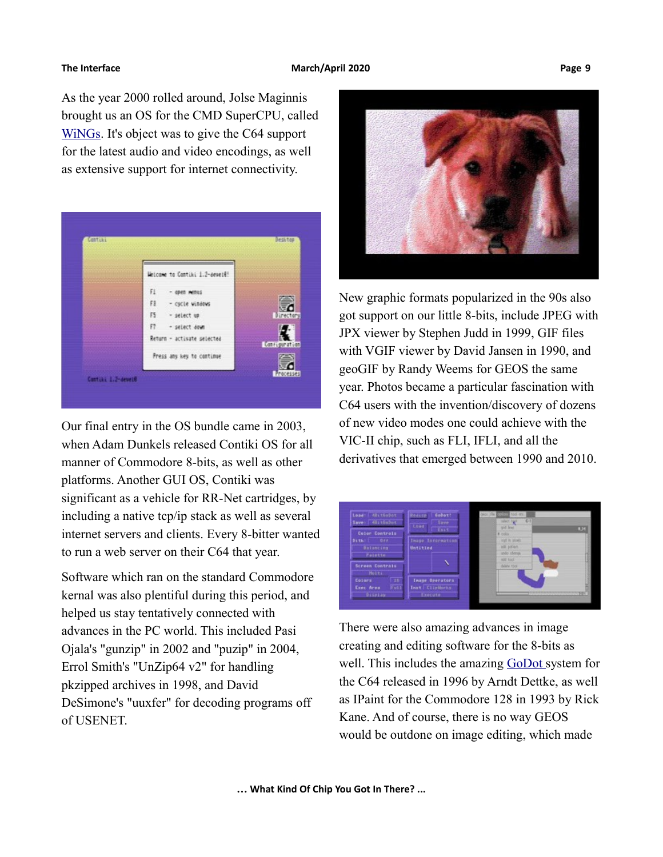As the year 2000 rolled around, Jolse Maginnis brought us an OS for the CMD SuperCPU, called [WiNGs.](http://wingsos.org/) It's object was to give the C64 support for the latest audio and video encodings, as well as extensive support for internet connectivity.



Our final entry in the OS bundle came in 2003, when Adam Dunkels released Contiki OS for all manner of Commodore 8-bits, as well as other platforms. Another GUI OS, Contiki was significant as a vehicle for RR-Net cartridges, by including a native tcp/ip stack as well as several internet servers and clients. Every 8-bitter wanted to run a web server on their C64 that year.

Software which ran on the standard Commodore kernal was also plentiful during this period, and helped us stay tentatively connected with advances in the PC world. This included Pasi Ojala's "gunzip" in 2002 and "puzip" in 2004, Errol Smith's "UnZip64 v2" for handling pkzipped archives in 1998, and David DeSimone's "uuxfer" for decoding programs off of USENET.



New graphic formats popularized in the 90s also got support on our little 8-bits, include JPEG with JPX viewer by Stephen Judd in 1999, GIF files with VGIF viewer by David Jansen in 1990, and geoGIF by Randy Weems for GEOS the same year. Photos became a particular fascination with C64 users with the invention/discovery of dozens of new video modes one could achieve with the VIC-II chip, such as FLI, IFLI, and all the derivatives that emerged between 1990 and 2010.



There were also amazing advances in image creating and editing software for the 8-bits as well. This includes the amazing [GoDot](https://github.com/godot64/GoDot) system for the C64 released in 1996 by Arndt Dettke, as well as IPaint for the Commodore 128 in 1993 by Rick Kane. And of course, there is no way GEOS would be outdone on image editing, which made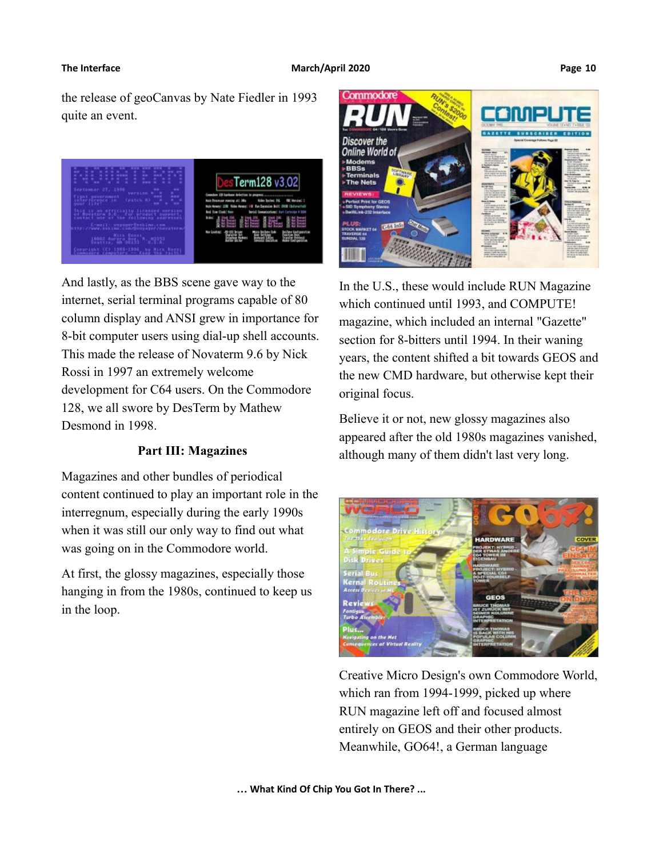the release of geoCanvas by Nate Fiedler in 1993 quite an event.



And lastly, as the BBS scene gave way to the internet, serial terminal programs capable of 80 column display and ANSI grew in importance for 8-bit computer users using dial-up shell accounts. This made the release of Novaterm 9.6 by Nick Rossi in 1997 an extremely welcome development for C64 users. On the Commodore 128, we all swore by DesTerm by Mathew Desmond in 1998.

### **Part III: Magazines**

Magazines and other bundles of periodical content continued to play an important role in the interregnum, especially during the early 1990s when it was still our only way to find out what was going on in the Commodore world.

At first, the glossy magazines, especially those hanging in from the 1980s, continued to keep us in the loop.



In the U.S., these would include RUN Magazine which continued until 1993, and COMPUTE! magazine, which included an internal "Gazette" section for 8-bitters until 1994. In their waning years, the content shifted a bit towards GEOS and the new CMD hardware, but otherwise kept their original focus.

Believe it or not, new glossy magazines also appeared after the old 1980s magazines vanished, although many of them didn't last very long.



Creative Micro Design's own Commodore World, which ran from 1994-1999, picked up where RUN magazine left off and focused almost entirely on GEOS and their other products. Meanwhile, GO64!, a German language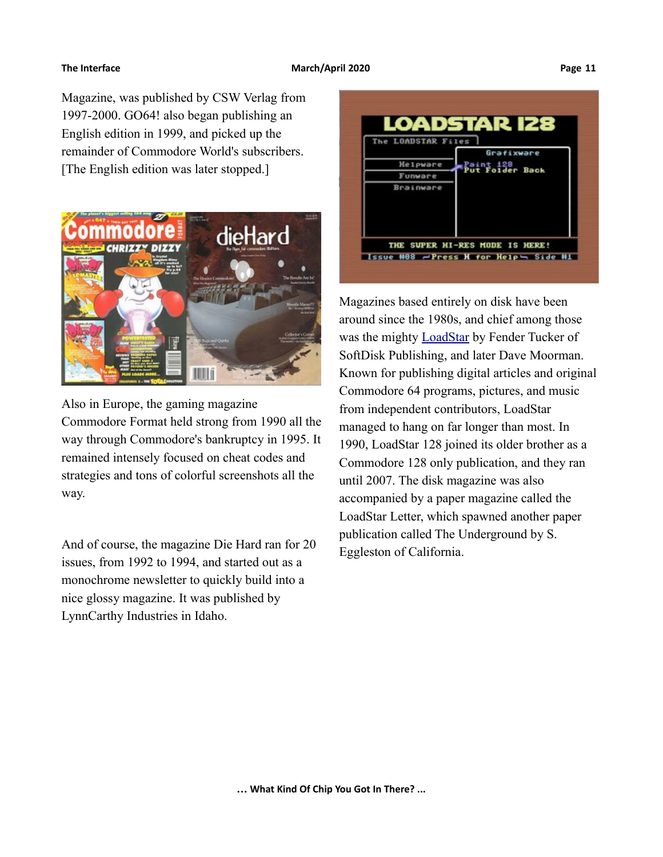# Magazine, was published by CSW Verlag from 1997-2000. GO64! also began publishing an English edition in 1999, and picked up the remainder of Commodore World's subscribers. [The English edition was later stopped.]



Also in Europe, the gaming magazine Commodore Format held strong from 1990 all the way through Commodore's bankruptcy in 1995. It remained intensely focused on cheat codes and strategies and tons of colorful screenshots all the way.

And of course, the magazine Die Hard ran for 20 issues, from 1992 to 1994, and started out as a monochrome newsletter to quickly build into a nice glossy magazine. It was published by LynnCarthy Industries in Idaho.



Magazines based entirely on disk have been around since the 1980s, and chief among those was the mighty **LoadStar** by Fender Tucker of SoftDisk Publishing, and later Dave Moorman. Known for publishing digital articles and original Commodore 64 programs, pictures, and music from independent contributors, LoadStar managed to hang on far longer than most. In 1990, LoadStar 128 joined its older brother as a Commodore 128 only publication, and they ran until 2007. The disk magazine was also accompanied by a paper magazine called the LoadStar Letter, which spawned another paper publication called The Underground by S. Eggleston of California.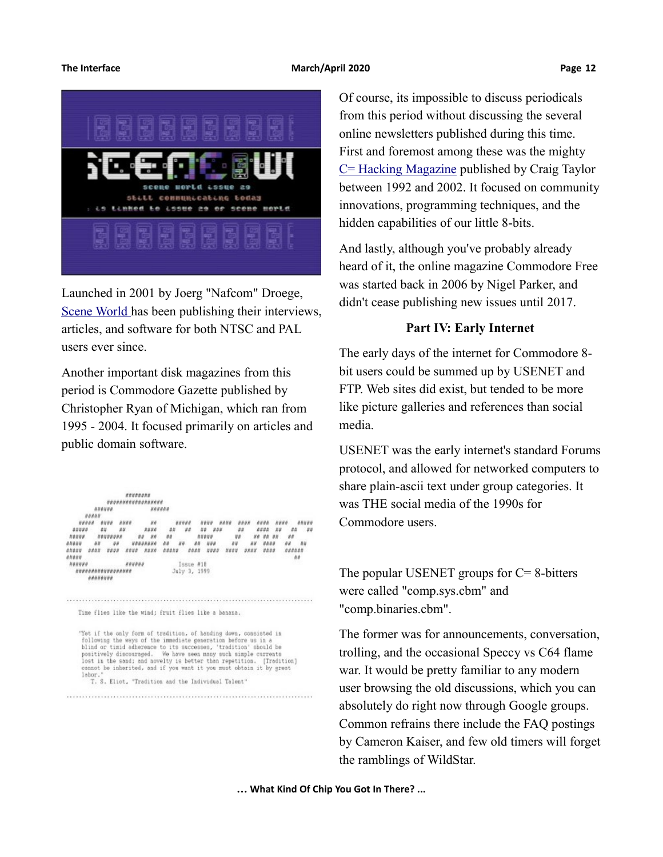### **The Interface March/April 2020 Page 12**



Launched in 2001 by Joerg "Nafcom" Droege,  [Scene World](https://sceneworld.org/) has been publishing their interviews, articles, and software for both NTSC and PAL users ever since.

Another important disk magazines from this period is Commodore Gazette published by Christopher Ryan of Michigan, which ran from 1995 - 2004. It focused primarily on articles and public domain software.

\*\*\*\*\*\*\*\* \*\*\*\*\*\*\*\*\*\*\*\*\*\*\*\*\*\*\* unauna **BRENNE BRRNE** neans onne nuos  $\theta$  $\begin{smallmatrix} \pi\pi\pi\pi\pi\pi \end{smallmatrix}$ neun neun neun aeun neun  $111100$ 5245 32 55  $-77$  $44$ \*\*\*\*\*\* **NNBUN BONNON** Issue #18<br>July 3, 1999 **NOUNSER** \*\*\*\*\*\*\*\*\*\*\*\*\*\*\*\*\*\*\* \*\*\*\*\*\*\*\*

Time flies like the wind; fruit flies like a banana.

"Yet if the only form of tradition, of handing down, consisted in<br>following the ways of the immediate generation before us in a<br>blind or timid adherence to its auccesses, 'tradition' should be<br>positively discouraged. We ha [Tradition] cannot be inherited, and if you want it you must obtain it by great labor. T. S. Eliot, "Tradition and the Individual Talent"

Of course, its impossible to discuss periodicals from this period without discussing the several online newsletters published during this time. First and foremost among these was the mighty  $C=$  Hacking Magazine published by Craig Taylor between 1992 and 2002. It focused on community innovations, programming techniques, and the hidden capabilities of our little 8-bits.

And lastly, although you've probably already heard of it, the online magazine Commodore Free was started back in 2006 by Nigel Parker, and didn't cease publishing new issues until 2017.

### **Part IV: Early Internet**

The early days of the internet for Commodore 8 bit users could be summed up by USENET and FTP. Web sites did exist, but tended to be more like picture galleries and references than social media.

USENET was the early internet's standard Forums protocol, and allowed for networked computers to share plain-ascii text under group categories. It was THE social media of the 1990s for Commodore users.

The popular USENET groups for  $C = 8$ -bitters were called "comp.sys.cbm" and "comp.binaries.cbm".

The former was for announcements, conversation, trolling, and the occasional Speccy vs C64 flame war. It would be pretty familiar to any modern user browsing the old discussions, which you can absolutely do right now through Google groups. Common refrains there include the FAQ postings by Cameron Kaiser, and few old timers will forget the ramblings of WildStar.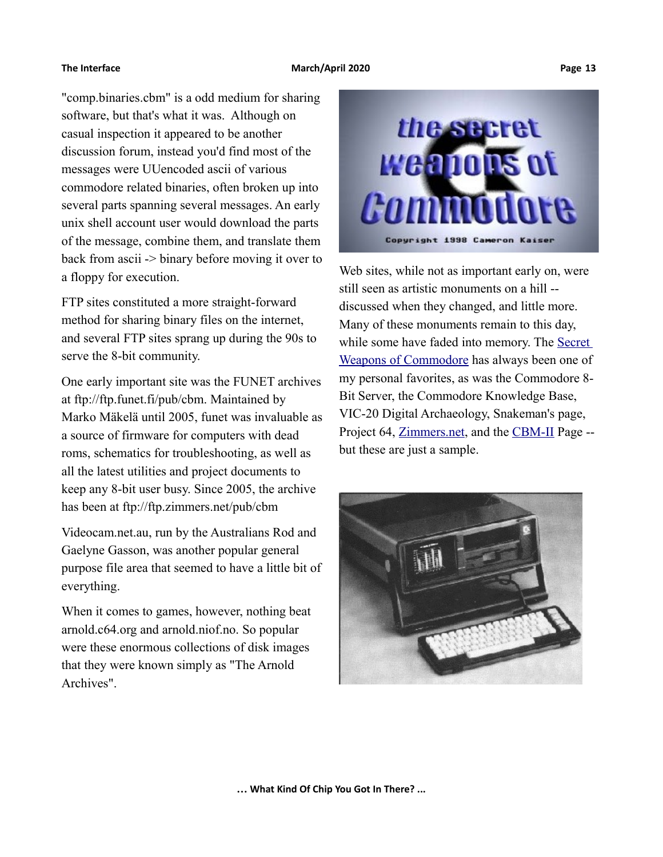"comp.binaries.cbm" is a odd medium for sharing software, but that's what it was. Although on casual inspection it appeared to be another discussion forum, instead you'd find most of the messages were UUencoded ascii of various commodore related binaries, often broken up into several parts spanning several messages. An early unix shell account user would download the parts of the message, combine them, and translate them back from ascii -> binary before moving it over to a floppy for execution.

FTP sites constituted a more straight-forward method for sharing binary files on the internet, and several FTP sites sprang up during the 90s to serve the 8-bit community.

One early important site was the FUNET archives at ftp://ftp.funet.fi/pub/cbm. Maintained by Marko Mäkelä until 2005, funet was invaluable as a source of firmware for computers with dead roms, schematics for troubleshooting, as well as all the latest utilities and project documents to keep any 8-bit user busy. Since 2005, the archive has been at ftp://ftp.zimmers.net/pub/cbm

Videocam.net.au, run by the Australians Rod and Gaelyne Gasson, was another popular general purpose file area that seemed to have a little bit of everything.

When it comes to games, however, nothing beat arnold.c64.org and arnold.niof.no. So popular were these enormous collections of disk images that they were known simply as "The Arnold Archives".



Web sites, while not as important early on, were still seen as artistic monuments on a hill - discussed when they changed, and little more. Many of these monuments remain to this day, while some have faded into memory. The Secret [Weapons of Commodore](https://www.floodgap.com/retrobits/ckb/secret/) has always been one of my personal favorites, as was the Commodore 8- Bit Server, the Commodore Knowledge Base, VIC-20 Digital Archaeology, Snakeman's page, Project 64, [Zimmers.net,](http://commie.zimmers.net/) and the [CBM-II](http://www.6502.org/users/sjgray/computer/cbm2/) Page - but these are just a sample.

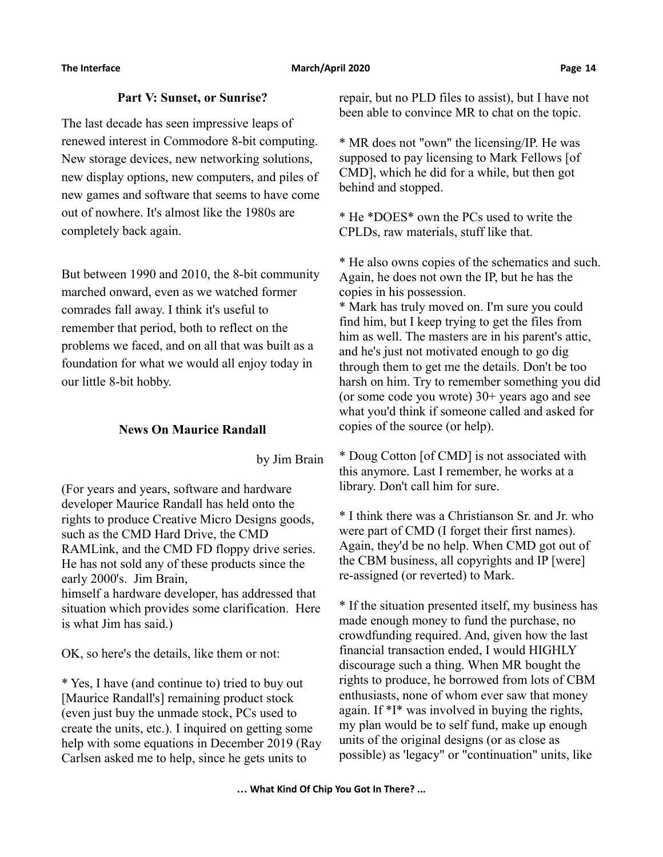### **Part V: Sunset, or Sunrise?**

The last decade has seen impressive leaps of renewed interest in Commodore 8-bit computing. New storage devices, new networking solutions, new display options, new computers, and piles of new games and software that seems to have come out of nowhere. It's almost like the 1980s are completely back again.

But between 1990 and 2010, the 8-bit community marched onward, even as we watched former comrades fall away. I think it's useful to remember that period, both to reflect on the problems we faced, and on all that was built as a foundation for what we would all enjoy today in our little 8-bit hobby.

### **News On Maurice Randall**

by Jim Brain

(For years and years, software and hardware developer Maurice Randall has held onto the rights to produce Creative Micro Designs goods, such as the CMD Hard Drive, the CMD RAMLink, and the CMD FD floppy drive series. He has not sold any of these products since the early 2000's. Jim Brain, himself a hardware developer, has addressed that situation which provides some clarification. Here

is what Jim has said.)

OK, so here's the details, like them or not:

\* Yes, I have (and continue to) tried to buy out [Maurice Randall's] remaining product stock (even just buy the unmade stock, PCs used to create the units, etc.). I inquired on getting some help with some equations in December 2019 (Ray Carlsen asked me to help, since he gets units to

repair, but no PLD files to assist), but I have not been able to convince MR to chat on the topic.

\* MR does not "own" the licensing/IP. He was supposed to pay licensing to Mark Fellows [of CMD], which he did for a while, but then got behind and stopped.

\* He \*DOES\* own the PCs used to write the CPLDs, raw materials, stuff like that.

\* He also owns copies of the schematics and such. Again, he does not own the IP, but he has the copies in his possession.

\* Mark has truly moved on. I'm sure you could find him, but I keep trying to get the files from him as well. The masters are in his parent's attic, and he's just not motivated enough to go dig through them to get me the details. Don't be too harsh on him. Try to remember something you did (or some code you wrote) 30+ years ago and see what you'd think if someone called and asked for copies of the source (or help).

\* Doug Cotton [of CMD] is not associated with this anymore. Last I remember, he works at a library. Don't call him for sure.

\* I think there was a Christianson Sr. and Jr. who were part of CMD (I forget their first names). Again, they'd be no help. When CMD got out of the CBM business, all copyrights and IP [were] re-assigned (or reverted) to Mark.

\* If the situation presented itself, my business has made enough money to fund the purchase, no crowdfunding required. And, given how the last financial transaction ended, I would HIGHLY discourage such a thing. When MR bought the rights to produce, he borrowed from lots of CBM enthusiasts, none of whom ever saw that money again. If \*I\* was involved in buying the rights, my plan would be to self fund, make up enough units of the original designs (or as close as possible) as 'legacy" or "continuation" units, like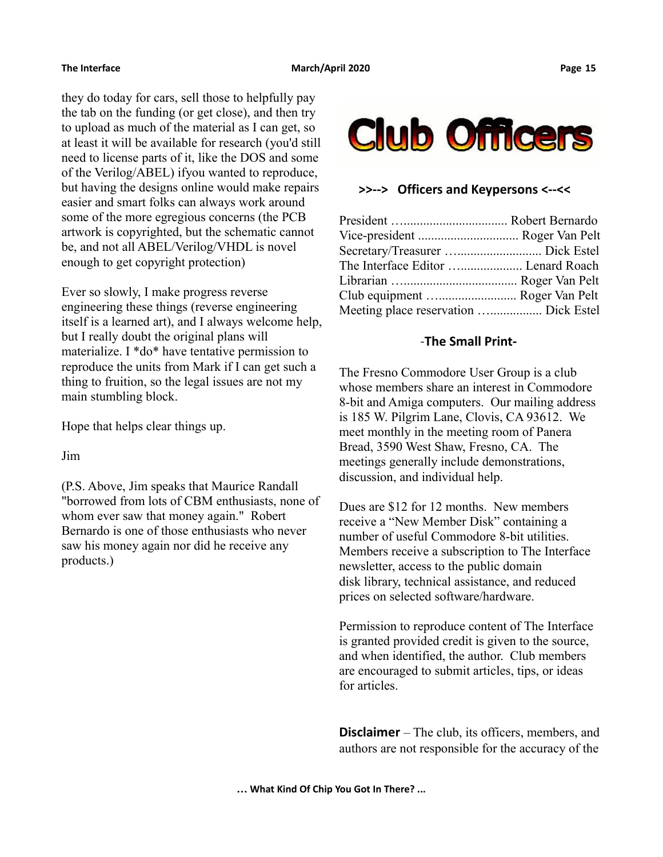they do today for cars, sell those to helpfully pay the tab on the funding (or get close), and then try to upload as much of the material as I can get, so at least it will be available for research (you'd still need to license parts of it, like the DOS and some of the Verilog/ABEL) ifyou wanted to reproduce, but having the designs online would make repairs easier and smart folks can always work around some of the more egregious concerns (the PCB artwork is copyrighted, but the schematic cannot be, and not all ABEL/Verilog/VHDL is novel enough to get copyright protection)

Ever so slowly, I make progress reverse engineering these things (reverse engineering itself is a learned art), and I always welcome help, but I really doubt the original plans will materialize. I \*do\* have tentative permission to reproduce the units from Mark if I can get such a thing to fruition, so the legal issues are not my main stumbling block.

Hope that helps clear things up.

Jim

(P.S. Above, Jim speaks that Maurice Randall "borrowed from lots of CBM enthusiasts, none of whom ever saw that money again." Robert Bernardo is one of those enthusiasts who never saw his money again nor did he receive any products.)



### **>>--> Officers and Keypersons <--<<**

| The Interface Editor  Lenard Roach    |  |
|---------------------------------------|--|
|                                       |  |
| Club equipment  Roger Van Pelt        |  |
| Meeting place reservation  Dick Estel |  |
|                                       |  |

## -**The Small Print-**

The Fresno Commodore User Group is a club whose members share an interest in Commodore 8-bit and Amiga computers. Our mailing address is 185 W. Pilgrim Lane, Clovis, CA 93612. We meet monthly in the meeting room of Panera Bread, 3590 West Shaw, Fresno, CA. The meetings generally include demonstrations, discussion, and individual help.

Dues are \$12 for 12 months. New members receive a "New Member Disk" containing a number of useful Commodore 8-bit utilities. Members receive a subscription to The Interface newsletter, access to the public domain disk library, technical assistance, and reduced prices on selected software/hardware.

Permission to reproduce content of The Interface is granted provided credit is given to the source, and when identified, the author. Club members are encouraged to submit articles, tips, or ideas for articles.

**Disclaimer** – The club, its officers, members, and authors are not responsible for the accuracy of the